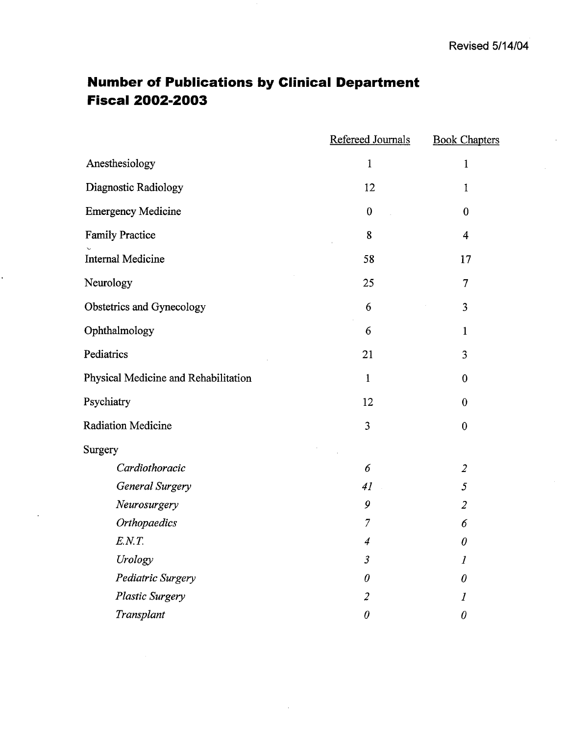# **Number of Publications by Clinical Department** Fiscal 2002-2003

|                                      | Refereed Journals | <b>Book Chapters</b> |
|--------------------------------------|-------------------|----------------------|
| Anesthesiology                       | $\mathbf{1}$      | $\mathbf{1}$         |
| Diagnostic Radiology                 | 12                | 1                    |
| <b>Emergency Medicine</b>            | $\boldsymbol{0}$  | $\boldsymbol{0}$     |
| <b>Family Practice</b>               | 8                 | 4                    |
| <b>Internal Medicine</b>             | 58                | 17                   |
| Neurology                            | 25                | 7                    |
| Obstetrics and Gynecology            | 6                 | 3                    |
| Ophthalmology                        | 6                 | $\mathbf{1}$         |
| Pediatrics                           | 21                | 3                    |
| Physical Medicine and Rehabilitation | 1                 | $\boldsymbol{0}$     |
| Psychiatry                           | 12                | $\boldsymbol{0}$     |
| <b>Radiation Medicine</b>            | 3                 | $\boldsymbol{0}$     |
| Surgery                              |                   |                      |
| Cardiothoracic                       | 6                 | $\overline{2}$       |
| General Surgery                      | 41                | 5                    |
| Neurosurgery                         | 9                 | $\overline{2}$       |
| Orthopaedics                         | $\overline{7}$    | 6                    |
| E.N. T.                              | 4                 | $\theta$             |
| Urology                              | $\mathfrak{Z}$    | 1                    |
| Pediatric Surgery                    | $\theta$          | $\theta$             |
| <b>Plastic Surgery</b>               | $\overline{2}$    | 1                    |
| Transplant                           | $\theta$          | $\theta$             |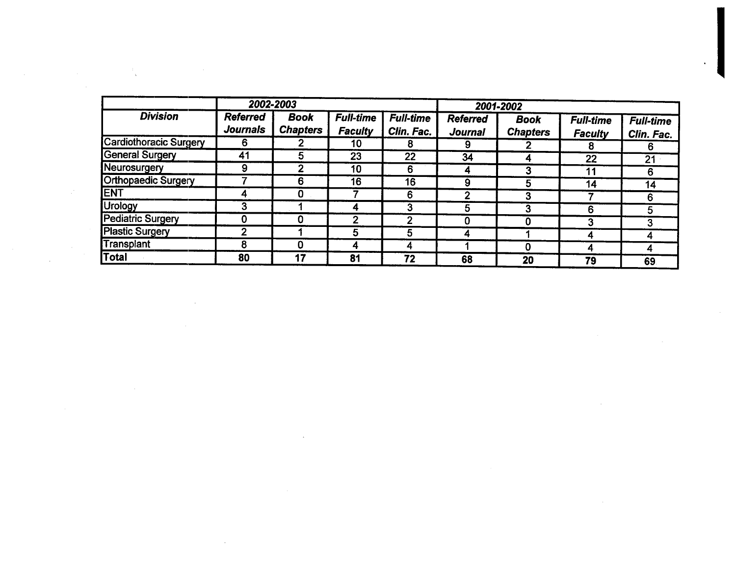|                               |                                    | 2002-2003                      |                                    |                                |                            | 2001-2002                      |                                    |                                |
|-------------------------------|------------------------------------|--------------------------------|------------------------------------|--------------------------------|----------------------------|--------------------------------|------------------------------------|--------------------------------|
| <b>Division</b>               | <b>Referred</b><br><b>Journals</b> | <b>Book</b><br><b>Chapters</b> | <b>Full-time</b><br><b>Faculty</b> | <b>Full-time</b><br>Clin. Fac. | <b>Referred</b><br>Journal | <b>Book</b><br><b>Chapters</b> | <b>Full-time</b><br><b>Faculty</b> | <b>Full-time</b><br>Clin. Fac. |
| <b>Cardiothoracic Surgery</b> | 6.                                 |                                | 10                                 | 8                              | 9                          |                                | 8                                  | 6                              |
| <b>General Surgery</b>        | 41                                 | 5                              | 23                                 | 22                             | 34                         | Д                              | 22                                 | 21 <sup>2</sup>                |
| Neurosurgery                  | 9                                  | 2                              | 10                                 | 6                              | 4                          |                                | 11                                 | 6                              |
| Orthopaedic Surgery           |                                    | 6                              | 16                                 | 16                             | 9                          | G                              | 14                                 | 14                             |
| <b>JENT</b>                   | 4                                  | 0                              |                                    | 6                              | ŋ                          | J.                             |                                    | 6                              |
| Urology                       | 3                                  |                                | 4                                  | 3                              | 5                          |                                | 6                                  | 5                              |
| Pediatric Surgery             | 0                                  |                                |                                    | ົ                              |                            |                                | 3                                  | 3                              |
| <b>Plastic Surgery</b>        | $\mathbf{2}$                       |                                | C                                  | 5                              | 4                          |                                | 4                                  | 4                              |
| Transplant                    | 8                                  | 0                              | 4                                  | 4                              |                            |                                | 4                                  | 4                              |
| <b>Total</b>                  | 80                                 | 17                             | 81                                 | 72                             | 68                         | 20                             | 79                                 | 69                             |

 $\mathcal{L}(\mathcal{L}(\mathcal{L}(\mathcal{L}(\mathcal{L}(\mathcal{L}(\mathcal{L}(\mathcal{L}(\mathcal{L}(\mathcal{L}(\mathcal{L}(\mathcal{L}(\mathcal{L}(\mathcal{L}(\mathcal{L}(\mathcal{L}(\mathcal{L}(\mathcal{L}(\mathcal{L}(\mathcal{L}(\mathcal{L}(\mathcal{L}(\mathcal{L}(\mathcal{L}(\mathcal{L}(\mathcal{L}(\mathcal{L}(\mathcal{L}(\mathcal{L}(\mathcal{L}(\mathcal{L}(\mathcal{L}(\mathcal{L}(\mathcal{L}(\mathcal{L}(\mathcal{L}(\mathcal{$ 

 $\mathcal{L}_{\text{max}}$  and  $\mathcal{L}_{\text{max}}$  are the set of the set of the set of the set of the set of the set of the set of the set of the set of the set of the set of the set of the set of the set of the set of the set of the set o

 $\mathcal{L}(\mathcal{L}(\mathcal{L}))$  and  $\mathcal{L}(\mathcal{L}(\mathcal{L}))$  . The contribution of  $\mathcal{L}(\mathcal{L})$ 

 $\mathcal{L}(\mathcal{L}^{\mathcal{L}})$  and  $\mathcal{L}(\mathcal{L}^{\mathcal{L}})$  and  $\mathcal{L}(\mathcal{L}^{\mathcal{L}})$ 

 $\mathcal{L}(\mathcal{L}(\mathcal{L}(\mathcal{L}(\mathcal{L}(\mathcal{L}(\mathcal{L}(\mathcal{L}(\mathcal{L}(\mathcal{L}(\mathcal{L}(\mathcal{L}(\mathcal{L}(\mathcal{L}(\mathcal{L}(\mathcal{L}(\mathcal{L}(\mathcal{L}(\mathcal{L}(\mathcal{L}(\mathcal{L}(\mathcal{L}(\mathcal{L}(\mathcal{L}(\mathcal{L}(\mathcal{L}(\mathcal{L}(\mathcal{L}(\mathcal{L}(\mathcal{L}(\mathcal{L}(\mathcal{L}(\mathcal{L}(\mathcal{L}(\mathcal{L}(\mathcal{L}(\mathcal{$ 

 $\sim 10^{-1}$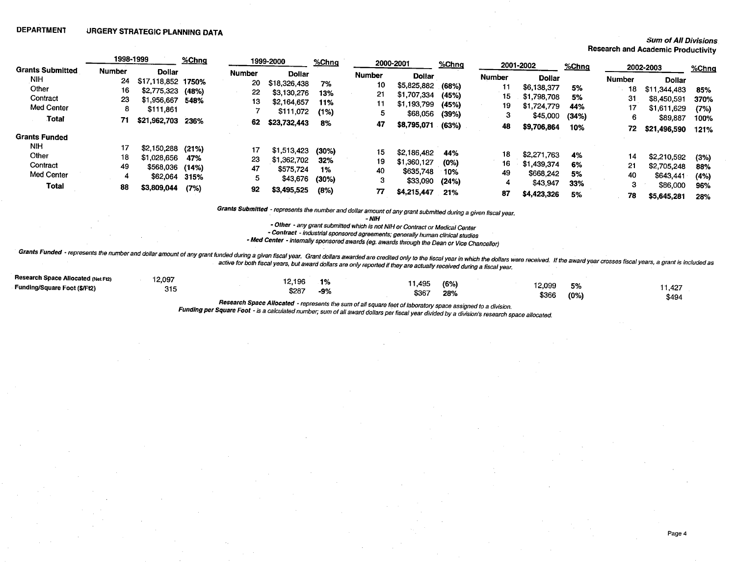#### **Sum of All Divisions**

Page 4

Research and Academic Productivity

|                                                        | 1998-1999            |                                                                                 | %Chng               |                           | 1999-2000                                                                | % <b>Chnq</b>                 |                           | 2000-2001                                                          | %Chnq                              |                           | 2001-2002                                                          | %Chnq                       |                      | 2002-2003                                                          |                                   |
|--------------------------------------------------------|----------------------|---------------------------------------------------------------------------------|---------------------|---------------------------|--------------------------------------------------------------------------|-------------------------------|---------------------------|--------------------------------------------------------------------|------------------------------------|---------------------------|--------------------------------------------------------------------|-----------------------------|----------------------|--------------------------------------------------------------------|-----------------------------------|
| <b>Grants Submitted</b>                                | <b>Number</b>        | <b>Dollar</b>                                                                   |                     | <b>Number</b>             | <b>Dollar</b>                                                            |                               | <b>Number</b>             | <b>Dollar</b>                                                      |                                    | <b>Number</b>             | <b>Dollar</b>                                                      |                             |                      |                                                                    | %Chnq                             |
| <b>NIH</b><br>Other                                    | 24<br>16             | \$17,118,852 1750%<br>\$2,775,323 (48%)                                         |                     | 20<br>22                  | \$18,326,438<br>\$3,130,276                                              | 7%<br>13%                     | 10<br>21                  | \$5,825,882 (68%)<br>\$1,707,334                                   | (45%)                              | 11                        | \$6,138,377                                                        | 5%                          | <b>Number</b><br>18  | <b>Dollar</b><br>\$11,344,483                                      | 85%                               |
| Contract<br>Med Center                                 | 23<br>8              | \$1,956,667<br>\$111,861                                                        | 548%                | 13                        | \$2,164,657<br>\$111,072                                                 | 11%<br>(1%)                   | 11<br>5                   | \$1,193,799<br>\$68,056                                            | (45%)<br>(39%)                     | 15<br>19<br>3             | \$1,798,708<br>\$1,724,779                                         | 5%<br>44%                   | 31                   | \$8,450,591<br>\$1,611,629                                         | 370%<br>(7%)                      |
| Total                                                  | 71                   | \$21,962,703 236%                                                               |                     | 62                        | \$23,732,443                                                             | 8%                            | 47                        | \$8,795,071                                                        | (63%)                              | 48                        | \$45,000<br>\$9,706,864                                            | (34%)<br>10%                | 6<br>72              | \$89,887<br>\$21,496,590                                           | 100%<br>121%                      |
| <b>Grants Funded</b>                                   |                      |                                                                                 |                     |                           |                                                                          |                               |                           |                                                                    |                                    |                           |                                                                    |                             |                      |                                                                    |                                   |
| <b>NIH</b><br>Other<br>Contract<br>Med Center<br>Total | 17<br>18<br>49<br>88 | $$2,150,288$ (21%)<br>\$1,028,656<br>\$568,036 (14%)<br>\$62,064<br>\$3,809,044 | 47%<br>315%<br>(7%) | 17<br>23<br>47<br>5<br>92 | \$1,513,423 (30%)<br>\$1,362,702<br>\$575,724<br>\$43,676<br>\$3,495,525 | 32%<br>1%<br>$(30\%)$<br>(8%) | 15<br>19<br>40<br>3<br>77 | \$2,186,482<br>\$1,360,127<br>\$635,748<br>\$33,090<br>\$4,215,447 | 44%<br>(0%)<br>10%<br>(24%)<br>21% | 18<br>16<br>49<br>4<br>87 | \$2,271,763<br>\$1,439,374<br>\$668.242<br>\$43,947<br>\$4,423,326 | 4%<br>6%<br>5%<br>33%<br>5% | 14<br>21<br>40<br>78 | \$2,210,592<br>\$2,705,248<br>\$643,441<br>\$86,000<br>\$5,645,281 | (3%)<br>88%<br>(4%)<br>96%<br>28% |

Grants Submitted - represents the number and dollar amount of any grant submitted during a given fiscal year.

 $-MH$ 

- Other - any grant submitted which is not NIH or Contract or Medical Center

- Contract - industrial sponsored agreements; generally human clinical studies

- Med Center - internally sponsored awards (eg. awards through the Dean or Vice Chancellor)

Grants Funded - represents the number and dollar amount of any grant funded during a given fiscal year. Grant dollars awarded are credited only to the fiscal year in which the dollars were received. If the award year cross

| Research Space Allocated (Net Ft2) | 12,097     |                 |           |       |      |        |         |        |
|------------------------------------|------------|-----------------|-----------|-------|------|--------|---------|--------|
| Funding/Square Foot (\$/Ft2)       | <b>215</b> | 12.196<br>\$287 | 1%<br>-9% | 1,495 | (6%) | 12,099 | 5%      | .1,427 |
|                                    |            |                 |           | \$367 | 28%  | \$366  | $(0\%)$ | \$494  |

Research Space Allocated - represents the sum of all square feet of laboratory space assigned to a division.

Funding per Square Foot - is a calculated number, sum of all award dollars per fiscal year divided by a division's research space allocated.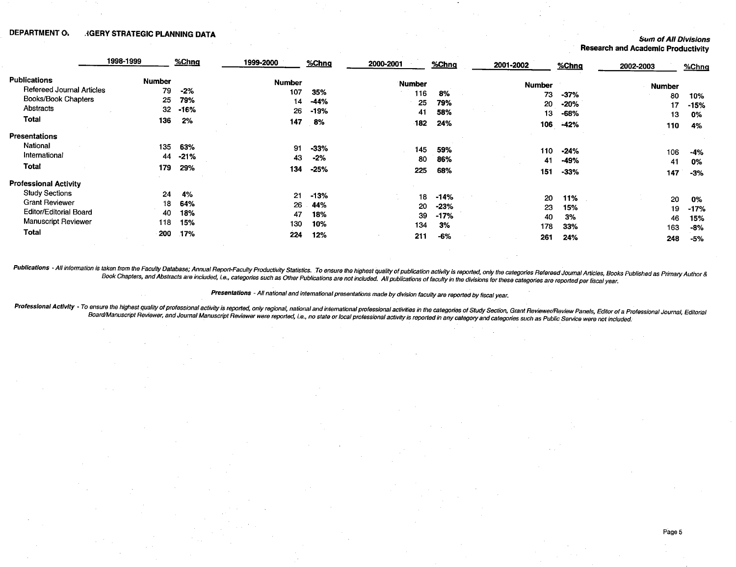## DEPARTMENT OW REARY STRATEGIC PLANNING DATA THE SUM OF ALL DIVISIONS SUM OF ALL DIVISIONS

Research and Academic Productivity

|                                  | 1998-1999     | %Chng  | 1999-2000     | $%$ Chng | 2000-2001 | %Chng  | 2001-2002     | %Chng  | 2002-2003     | %Chng  |
|----------------------------------|---------------|--------|---------------|----------|-----------|--------|---------------|--------|---------------|--------|
| <b>Publications</b>              | <b>Number</b> |        | <b>Number</b> |          | Number    |        | <b>Number</b> |        |               |        |
| <b>Refereed Journal Articles</b> | 79            | $-2%$  | 107           | 35%      | 116       | 8%     |               |        | <b>Number</b> |        |
| Books/Book Chapters              | 25            | 79%    | 14            | -44%     |           |        | 73            | $-37%$ | 80            | 10%    |
| Abstracts                        | 32            | -16%   |               |          | 25        | 79%    | 20            | -20%   | 17            | $-15%$ |
|                                  |               |        | 26            | -19%     | 41        | 58%    | 13            | -68%   | 13            | 0%     |
| Total                            | 136           | 2%     | 147           | 8%       | 182       | 24%    | 106           | $-42%$ | 110           | 4%     |
| <b>Presentations</b>             |               |        |               |          |           |        |               |        |               |        |
| National                         | 135           | 63%    | 91            | $-33%$   | 145       | 59%    | 110           |        |               |        |
| International                    | 44            | $-21%$ | 43            | $-2%$    | 80        |        |               | -24%   | 106           | $-4%$  |
| Total                            | 179           |        |               |          |           | 86%    | 41            | -49%   | -41           | 0%     |
|                                  |               | 29%    | 134           | $-25%$   | 225       | 68%    | 151           | $-33%$ | 147           | $-3%$  |
| <b>Professional Activity</b>     |               |        |               |          |           |        |               |        |               |        |
| <b>Study Sections</b>            | 24            | 4%     | 21            | $-13%$   | 18        | $-14%$ | 20            | 11%    | 20            | 0%     |
| <b>Grant Reviewer</b>            | 18            | 64%    | 26            | 44%      | 20        | $-23%$ | 23            | 15%    |               |        |
| <b>Editor/Editorial Board</b>    | 40            | 18%    | 47            | 18%      | 39        | $-17%$ |               |        | 19            | $-17%$ |
| <b>Manuscript Reviewer</b>       | 118           | 15%    | 130           | 10%      |           |        | 40            | 3%     | 46            | 15%    |
| <b>Total</b>                     |               |        |               |          | 134       | 3%     | 178           | 33%    | 163           | -8%    |
|                                  | 200           | .17%   | 224           | 12%      | 211       | $-6%$  | 261           | 24%    | 248           | $-5%$  |

Publications - All information is taken from the Faculty Database; Annual Report-Faculty Productivity Statistics. To ensure the highest quality of publication activity is reported, only the categories Refereed Journal Arti

Presentations - All national and international presentations made by division faculty are reported by fiscal year.

Professional Activity - To ensure the highest quality of professional activity is reported, only regional, national and international professional activities in the categories of Study Section, Grant Reviewer/Review Panels Board/Manuscript Reviewer, and Journal Manuscript Reviewer were reported, i.e., no state or local professional activity is reported in any category and categories such as Public Service were not included.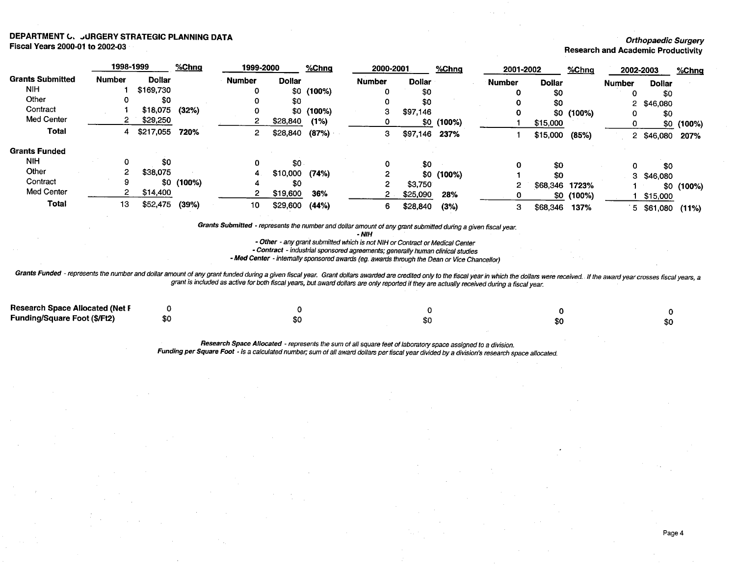#### DEPARTMENT C. JURGERY STRATEGIC PLANNING DATA **Fiscal Years 2000-01 to 2002-03**

#### **Orthopaedic Surgery**

Research and Academic Productivity

|                         |        | 1998-1999      | %Chng       | 1999-2000     |                 | % <b>Chnq</b> |               | 2000-2001     | %Chng       | 2001-2002     |               | %Chna       |               | 2002-2003     | %Chng       |
|-------------------------|--------|----------------|-------------|---------------|-----------------|---------------|---------------|---------------|-------------|---------------|---------------|-------------|---------------|---------------|-------------|
| <b>Grants Submitted</b> | Number | <b>Dollar</b>  |             | <b>Number</b> | <b>Dollar</b>   |               | <b>Number</b> | <b>Dollar</b> |             | <b>Number</b> | <b>Dollar</b> |             | <b>Number</b> | <b>Dollar</b> |             |
| <b>NIH</b>              |        | \$169,730      |             |               |                 | $$0$ (100%)   |               | \$0           |             |               | \$0           |             |               | \$0           |             |
| Other                   | O      | \$0            |             |               | \$0             |               |               | \$0           |             |               | \$0           |             | 2.            | \$46,080      |             |
| Contract                |        | \$18,075 (32%) |             |               |                 | $$0$ (100%)   | з             | \$97,146      |             |               |               | $$0$ (100%) |               | \$0           |             |
| Med Center              |        | \$29,250       |             |               | \$28,840        | (1%)          |               |               | $$0$ (100%) |               | \$15,000      |             |               |               | $$0$ (100%) |
| <b>Total</b>            | 4      | \$217,055      | 720%        | 2             | \$28,840        | (87%)         | 3             | \$97,146      | 237%        |               | \$15,000      | (85%)       | 2             | \$46,080      | 207%        |
| <b>Grants Funded</b>    |        |                |             |               |                 |               |               |               |             |               |               |             |               |               |             |
| <b>NIH</b>              |        | \$0            |             | 0             | \$0.            |               | 0             | \$0           |             | 0             | \$0           |             |               | \$0           |             |
| Other                   |        | \$38,075       |             |               | $$10,000$ (74%) |               |               |               | $$0$ (100%) |               | \$0           |             | 3.            | \$46,080      |             |
| Contract                | 9      |                | $$0$ (100%) |               | \$0             |               |               | \$3,750       |             |               | \$68,346      | 1723%       |               |               |             |
| Med Center              |        | \$14,400       |             |               | \$19,600        | 36%           |               | \$25,090      | 28%         |               | -50           | (100%)      |               | \$15,000      | $$0$ (100%) |
| <b>Total</b>            | 13     | \$52,475       | (39%)       | 10            | \$29,600        | (44%)         | 6             | \$28,840      | (3%)        | з             | \$68,346      | 137%        | 5.            | \$61,080      | (11%)       |

Grants Submitted - represents the number and dollar amount of any grant submitted during a given fiscal year.

NIH

- Other - any grant submitted which is not NIH or Contract or Medical Center

- Contract - industrial sponsored agreements; generally human clinical studies

- Med Center - internally sponsored awards (eg. awards through the Dean or Vice Chancellor)

Grants Funded - represents the number and dollar amount of any grant funded during a given fiscal year. Grant dollars awarded are credited only to the fiscal year in which the dollars were received. If the award year cross

| <b>Research Space Allocated (Net F</b> |   |  |     |
|----------------------------------------|---|--|-----|
| <b>Funding/Square Foot (\$/Ft2)</b>    | ы |  | \$0 |

Research Space Allocated - represents the sum of all square feet of laboratory space assigned to a division. Funding per Square Foot - is a calculated number, sum of all award dollars per fiscal year divided by a division's research space allocated.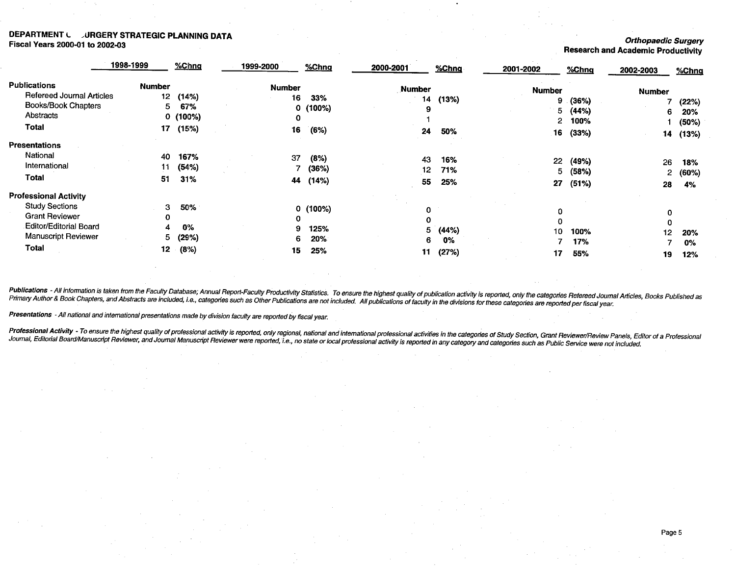## DEPARTMENT LURGERY STRATEGIC PLANNING DATA<br>Fiscal Years 2000-01 to 2002-03 orthopaedic Surgery China Long Fiscal Year 2000-01 to 2002-03 Curgery Productivity<br>Fiscal Years 2000-01 to 2002-03 Research and Academic Productivity

|                                  | 1998-1999       | %Chng   | 1999-2000 |               | %Chng   | 2000-2001     | %Chng | 2001-2002     | %Chng | 2002-2003     | %Chng |
|----------------------------------|-----------------|---------|-----------|---------------|---------|---------------|-------|---------------|-------|---------------|-------|
| <b>Publications</b>              | <b>Number</b>   |         |           | <b>Number</b> |         | <b>Number</b> |       | <b>Number</b> |       |               |       |
| <b>Refereed Journal Articles</b> | 12 <sub>1</sub> | (14%)   |           | 16            | 33%     | 14            | (13%) | 9.            |       | <b>Number</b> |       |
| <b>Books/Book Chapters</b>       | 5.              | 67%     |           |               | 0(100%) | 9             |       |               | (36%) |               | (22%) |
| Abstracts                        |                 | 0(100%) |           | 0             |         |               |       | 5.            | (44%) | 6             | 20%   |
| <b>Total</b>                     | 17              | (15%)   |           |               |         |               |       | 2             | 100%  |               | (50%) |
|                                  |                 |         |           | 16            | (6%)    | 24            | 50%   | 16            | (33%) | 14            | (13%) |
| <b>Presentations</b>             |                 |         |           |               |         |               |       |               |       |               |       |
| National                         | 40              | 167%    |           | 37            | (8%)    | 43            |       |               |       |               |       |
| International                    | 11              | (54%)   |           |               | (36%)   |               | 16%   | 22            | (49%) | 26            | 18%   |
| <b>Total</b>                     |                 |         |           |               |         | 12            | 71%   | 5.            | (58%) | 2             | (60%) |
|                                  | 51              | 31%     |           | 44            | (14%)   | 55            | 25%   | 27            | (51%) | 28            | 4%    |
| <b>Professional Activity</b>     |                 |         |           |               |         |               |       |               |       |               |       |
| <b>Study Sections</b>            | 3               | 50%     |           |               | 0(100%) | 0             |       |               |       |               |       |
| <b>Grant Reviewer</b>            | 0               |         |           | 0             |         | 0             |       | 0             |       | 0             |       |
| <b>Editor/Editorial Board</b>    | 4               | $0\%$   |           | 9             | 125%    | 5.            |       | 0             |       |               |       |
| <b>Manuscript Reviewer</b>       | 5.              | (29%)   |           | 6.            | 20%     |               | (44%) | 10            | 100%  | 12            | 20%   |
| Total                            | 12              |         |           |               |         | 6.            | 0%    |               | 17%   |               | 0%    |
|                                  |                 | (8%)    |           | 15            | 25%     | 11            | (27%) | 17            | 55%   | 19            | 12%   |

Publications - All information is taken from the Faculty Database; Annual Report-Faculty Productivity Statistics. To ensure the highest quality of publication activity is reported, only the categories Refereed Journal Arti

Presentations - All national and international presentations made by division faculty are reported by fiscal year.

Professional Activity - To ensure the highest quality of professional activity is reported, only regional, national and international professional activities in the categories of Study Section, Grant Reviewer/Review Panels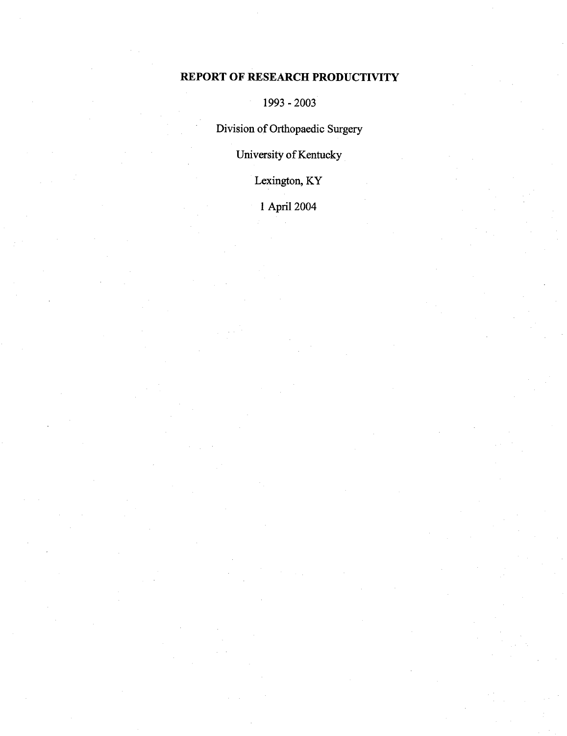## REPORT OF RESEARCH PRODUCTIVITY

1993 -2003

Division of Orthopaedic Surgery

University of Kentucky

Lexington, KY

April 2004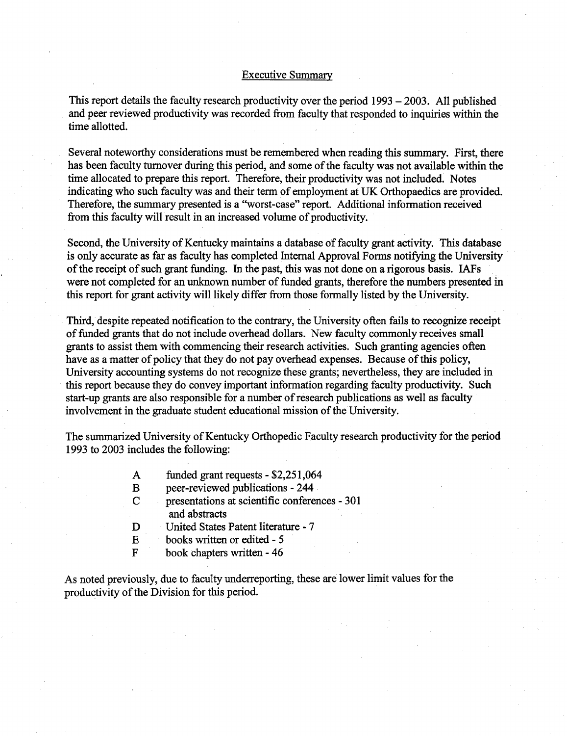### Executive Summary

This report details the faculty research productivity over the period  $1993 - 2003$ . All published and peer reviewed productivity was recorded from faculty that responded to inquiries within the time allotted.

Several noteworthy considerations must be remembered when reading this summary. First, there has been faculty turnover during this period, and some of the faculty was not available within the time allocated to prepare this report. Therefore, their productivity was not included. Notes indicating who such faculty was and their term of employment at UK Orthopaedics are provided. Therefore, the summary presented is a "worst-case" report. Additional information received from this faculty will result in an increased volume of productivity.

Second, the University of Kentucky maintains a database of faculty grant activity. This database is only accurate as far as faculty has completed Internal Approval Forms notifying the University of the receipt of such grant funding. In the past, this was not done on a rigorous basis. IAFs were not completed for an unknown number of funded grants, therefore the numbers presented in this report for grant activity will likely differ from those formally listed by the University.

Third, despite repeated notification to the contrary, the University often fails to recognize receipt of funded grants that do not include overhead dollars. New faculty commonly receives small grants to assist them with commencing their research activities. Such granting agencies often have as a matter of policy that they do not pay overhead expenses. Because of this policy, University accounting systems do not recognize these grants; nevertheless, they are included in this report because they do convey important information regarding faculty productivity. Such start-up grants are also responsible for a number of research publications as well as faculty involvement in the graduate student educational mission of the University.

The summarized University of Kentucky Orthopedic Faculty research productivity forthe period 1993 to 2003 includes the following:

- funded grant requests  $-$  \$2,251,064  $\mathbf{A}$
- $\bf{B}$ peer-reviewed publications - 244
- $\overline{C}$ presentations at scientific conferences - 301 and abstracts
- United States Patent literature 7 D
- $\overline{E}$ books written or edited - 5
- $\mathbf F$ book chapters written - 46

As noted previously, due to faculty underreporting, these are lower limit values for the productivity of the Division for this period.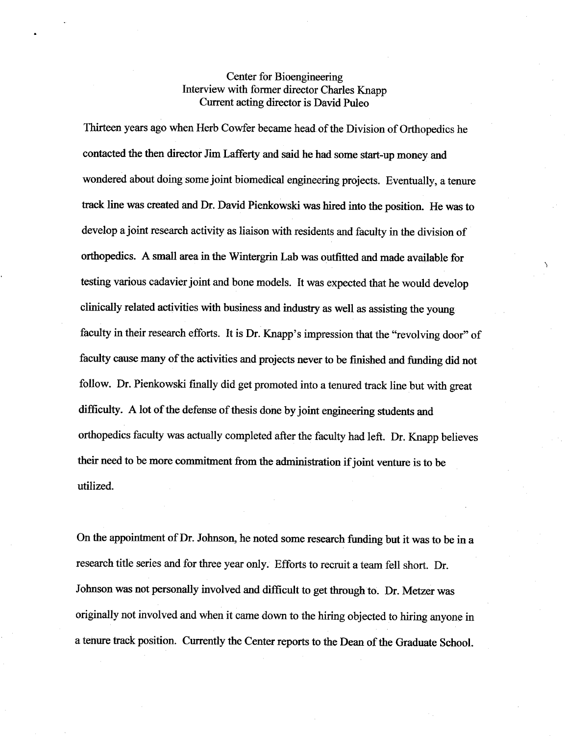## Center for Bioengineering Interview with former director Charles Knapp Current acting director is David Puleo

Thirteen years ago when Herb Cowfer became head of the Division of Orthopedics he contacted the then director Jim Lafferty and said he had some start-up money and wondered about doing some joint biomedical engineering projects. Eventually, a tenure track line was created and Dr. David Pienkowski was hired into the position. He was to develop a joint research activity as liaison with residents and faculty in the division of orthopedics. A small area in the Wintergrin Lab was outfitted and made available for testing various cadavier joint and bone models. It was expected that he would develop clinically related activities with business and industry as well as assisting the young faculty in their research efforts. It is Dr. Knapp's impression that the "revolving door" of faculty cause many of the activities and projects never to be finished and funding did not follow. Dr. Pienkowski finally did get promoted into a tenured track line but with great difficulty. A lot of the defense of thesis done by joint engineering students and orthopedics faculty was actually completed after the faculty had left. Dr. Knapp believes their need to be more commitment from the administration if joint venture is to be utilized.

On the appointment of Dr. Johnson, he noted some research funding but it was to be in a research title series and for three year only. Efforts to recruit a team fell short. Dr. Johnson was not personally involved and difficult to get through to. Dr. Metzer was originally not involved and when it came down to the hiring objected to hiring anyone in a tenure track position. Currently the Center reports to the Dean of the Graduate School.